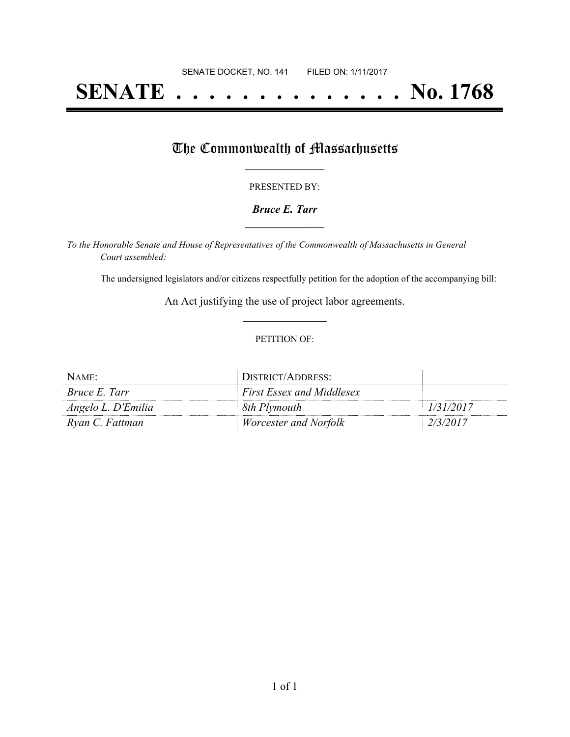# **SENATE . . . . . . . . . . . . . . No. 1768**

## The Commonwealth of Massachusetts

#### PRESENTED BY:

#### *Bruce E. Tarr* **\_\_\_\_\_\_\_\_\_\_\_\_\_\_\_\_\_**

*To the Honorable Senate and House of Representatives of the Commonwealth of Massachusetts in General Court assembled:*

The undersigned legislators and/or citizens respectfully petition for the adoption of the accompanying bill:

An Act justifying the use of project labor agreements. **\_\_\_\_\_\_\_\_\_\_\_\_\_\_\_**

#### PETITION OF:

| NAME:                | DISTRICT/ADDRESS:                |           |
|----------------------|----------------------------------|-----------|
| <i>Bruce E. Tarr</i> | <b>First Essex and Middlesex</b> |           |
| Angelo L. D'Emilia   | 8th Plymouth                     | 1/31/2017 |
| Ryan C. Fattman      | <i>Worcester and Norfolk</i>     | 2/3/2017  |